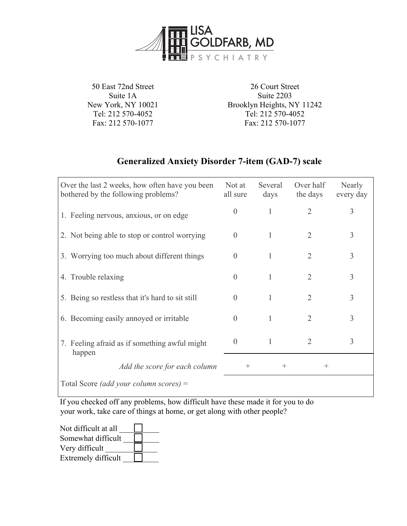

50 East 72nd Street Suite 1A New York, NY 10021 Tel: 212 570-4052 Fax: 212 570-1077

26 Court Street Suite 2203 Brooklyn Heights, NY 11242 Tel: 212 570-4052 Fax: 212 570-1077

## **Generalized Anxiety Disorder 7-item (GAD-7) scale**

| Over the last 2 weeks, how often have you been<br>bothered by the following problems? | Not at<br>all sure | Several<br>days | Over half<br>the days | Nearly<br>every day |
|---------------------------------------------------------------------------------------|--------------------|-----------------|-----------------------|---------------------|
| 1. Feeling nervous, anxious, or on edge                                               | $\Omega$           |                 | $\overline{2}$        | 3                   |
| 2. Not being able to stop or control worrying                                         | $\Omega$           | 1               | $\overline{2}$        | 3                   |
| 3. Worrying too much about different things                                           | $\theta$           |                 | $\overline{2}$        | 3                   |
| 4. Trouble relaxing                                                                   | $\left( \right)$   |                 | $\overline{2}$        | 3                   |
| 5. Being so restless that it's hard to sit still                                      | $\Omega$           |                 | $\overline{2}$        | 3                   |
| 6. Becoming easily annoyed or irritable                                               | $\left( \right)$   |                 | $\overline{2}$        | 3                   |
| 7. Feeling afraid as if something awful might<br>happen                               | $\theta$           |                 | $\overline{2}$        | 3                   |
| Add the score for each column                                                         | $^{+}$             | $^{+}$          | $^{+}$                |                     |
| Total Score <i>(add your column scores)</i> =                                         |                    |                 |                       |                     |

If you checked off any problems, how difficult have these made it for you to do your work, take care of things at home, or get along with other people?

Not difficult at all Somewhat difficult  $\Box$ Very difficult Extremely difficult